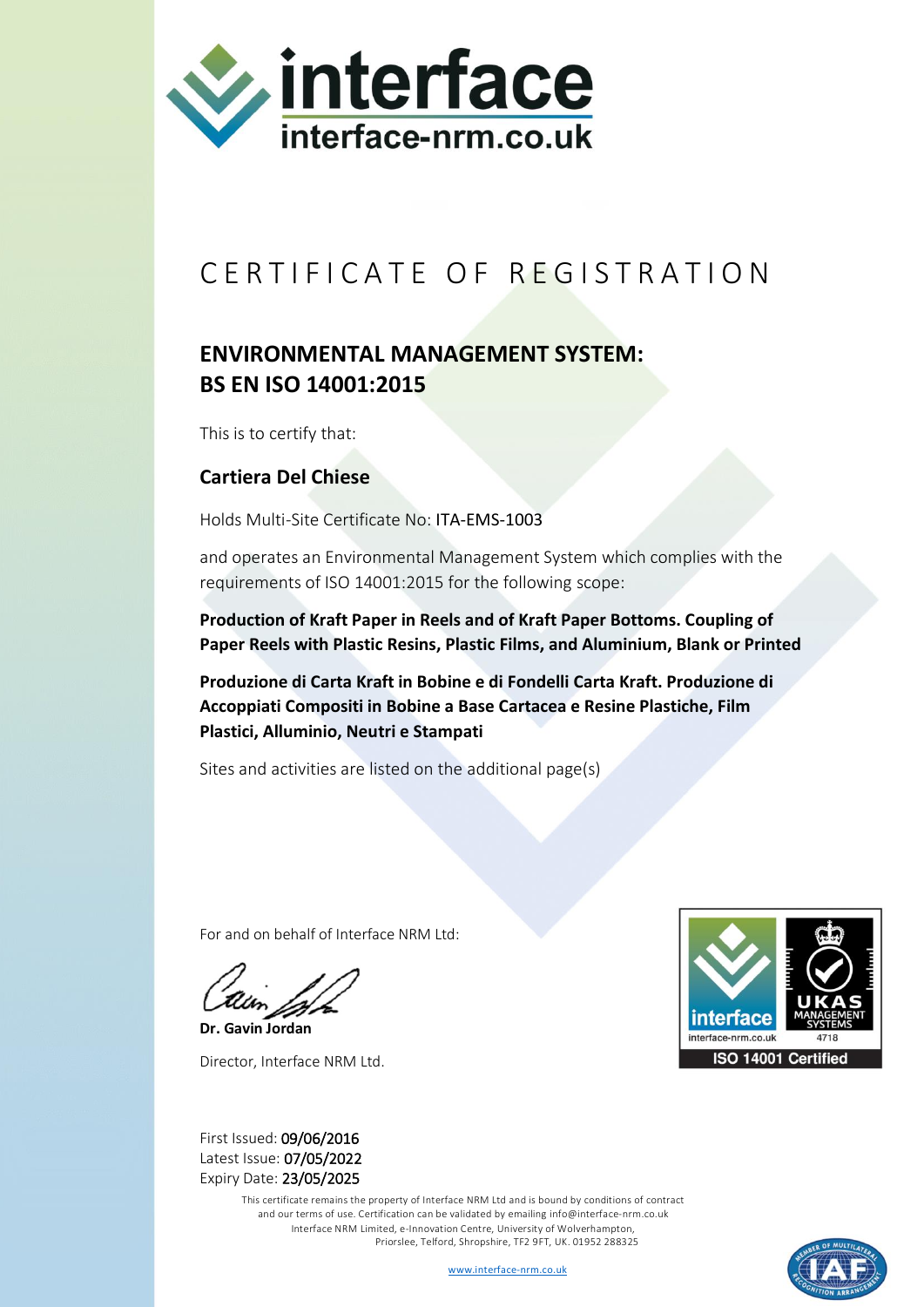

## CERTIFICATE OF REGISTRATION

## **ENVIRONMENTAL MANAGEMENT SYSTEM: BS EN ISO 14001:2015**

This is to certify that:

## **Cartiera Del Chiese**

Holds Multi-Site Certificate No: ITA-EMS-1003

and operates an Environmental Management System which complies with the requirements of ISO 14001:2015 for the following scope:

**Production of Kraft Paper in Reels and of Kraft Paper Bottoms. Coupling of Paper Reels with Plastic Resins, Plastic Films, and Aluminium, Blank or Printed**

**Produzione di Carta Kraft in Bobine e di Fondelli Carta Kraft. Produzione di Accoppiati Compositi in Bobine a Base Cartacea e Resine Plastiche, Film Plastici, Alluminio, Neutri e Stampati**

Sites and activities are listed on the additional page(s)

For and on behalf of Interface NRM Ltd:

**Dr. Gavin Jordan** Director, Interface NRM Ltd.



First Issued: 09/06/2016 Latest Issue: 07/05/2022 Expiry Date: 23/05/2025

> This certificate remains the property of Interface NRM Ltd and is bound by conditions of contract and our terms of use. Certification can be validated by emailin[g info@interface-nrm.co.uk](mailto:info@interface-nrm.co.uk) Interface NRM Limited, e-Innovation Centre, University of Wolverhampton, Priorslee, Telford, Shropshire, TF2 9FT, UK. 01952 288325